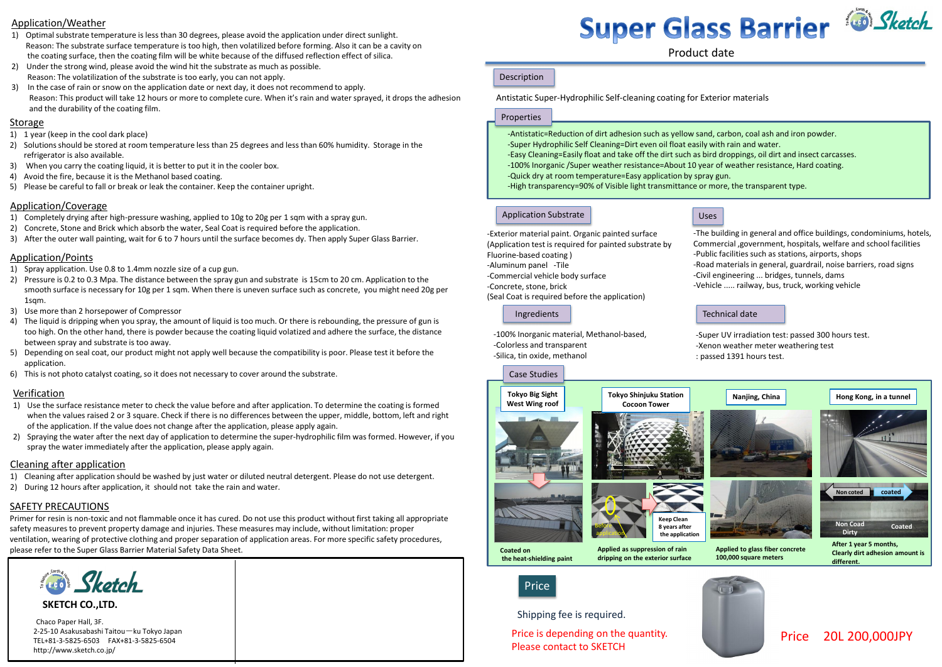Product date

Antistatic Super-Hydrophilic Self-cleaning coating for Exterior materials

Properties

#### Application Substrate

-Exterior material paint. Organic painted surface

Fluorine-based coating ) -Aluminum panel -Tile

-Commercial vehicle body surface

-Concrete, stone, brick

(Seal Coat is required before the application)

## Price



# Price 20L 200,000JPY

#### Technical date

- -Super UV irradiation test: passed 300 hours test. -Xenon weather meter weathering test
- : passed 1391 hours test.



Ingredients -100% Inorganic material, Methanol-based, -Colorless and transparent

-The building in general and office buildings, condominiums, hotels, Commercial ,government, hospitals, welfare and school facilities -Public facilities such as stations, airports, shops -Road materials in general, guardrail, noise barriers, road signs







-Civil engineering ... bridges, tunnels, dams -Vehicle ..... railway, bus, truck, working vehicle

-Antistatic=Reduction of dirt adhesion such as yellow sand, carbon, coal ash and iron powder. -Super Hydrophilic Self Cleaning=Dirt even oil float easily with rain and water. -Easy Cleaning=Easily float and take off the dirt such as bird droppings, oil dirt and insect carcasses. -100% Inorganic /Super weather resistance=About 10 year of weather resistance, Hard coating. -Quick dry at room temperature=Easy application by spray gun. -High transparency=90% of Visible light transmittance or more, the transparent type.

-Silica, tin oxide, methanol

Shipping fee is required.

Price is depending on the quantity. Please contact to SKETCH





- 
- 
- 
- 
- 
- 

#### Application/Weather

- 1) Optimal substrate temperature is less than 30 degrees, please avoid the application under direct sunlight. Reason: The substrate surface temperature is too high, then volatilized before forming. Also it can be a cavity on the coating surface, then the coating film will be white because of the diffused reflection effect of silica.
- 2) Under the strong wind, please avoid the wind hit the substrate as much as possible. Reason: The volatilization of the substrate is too early, you can not apply.
- 3) In the case of rain or snow on the application date or next day, it does not recommend to apply. Reason: This product will take 12 hours or more to complete cure. When it's rain and water sprayed, it drops the adhesion and the durability of the coating film.

#### **Storage**

#### Application/Coverage

- 1) Completely drying after high-pressure washing, applied to 10g to 20g per 1 sqm with a spray gun.
- 2) Concrete, Stone and Brick which absorb the water, Seal Coat is required before the application.
- 3) After the outer wall painting, wait for 6 to 7 hours until the surface becomes dy. Then apply Super Glass Barrier.
- 1) 1 year (keep in the cool dark place)
- 2) Solutions should be stored at room temperature less than 25 degrees and less than 60% humidity. Storage in the refrigerator is also available.
- 3) When you carry the coating liquid, it is better to put it in the cooler box.
- 4) Avoid the fire, because it is the Methanol based coating.
- 5) Please be careful to fall or break or leak the container. Keep the container upright.

#### Application/Points

- 1) Spray application. Use 0.8 to 1.4mm nozzle size of a cup gun.
- 2) Pressure is 0.2 to 0.3 Mpa. The distance between the spray gun and substrate is 15cm to 20 cm. Application to the smooth surface is necessary for 10g per 1 sqm. When there is uneven surface such as concrete, you might need 20g per 1sqm.
- 3) Use more than 2 horsepower of Compressor
- 4) The liquid is dripping when you spray, the amount of liquid is too much. Or there is rebounding, the pressure of gun is too high. On the other hand, there is powder because the coating liquid volatized and adhere the surface, the distance between spray and substrate is too away.
- 5) Depending on seal coat, our product might not apply well because the compatibility is poor. Please test it before the application.
- 6) This is not photo catalyst coating, so it does not necessary to cover around the substrate.

#### Verification

- 1) Use the surface resistance meter to check the value before and after application. To determine the coating is formed when the values raised 2 or 3 square. Check if there is no differences between the upper, middle, bottom, left and right of the application. If the value does not change after the application, please apply again.
- 2) Spraying the water after the next day of application to determine the super-hydrophilic film was formed. However, if you spray the water immediately after the application, please apply again.

#### Cleaning after application

- 1) Cleaning after application should be washed by just water or diluted neutral detergent. Please do not use detergent.
- 2) During 12 hours after application, it should not take the rain and water.

**SKETCH CO.,LTD.**

Chaco Paper Hall, 3F. 2-25-10 Asakusabashi Taitou-ku Tokyo Japan TEL+81-3-5825-6503 FAX+81-3-5825-6504 http://www.sketch.co.jp/

# Super Glass Barrier & Sketch

#### Description

#### SAFETY PRECAUTIONS

Primer for resin is non-toxic and not flammable once it has cured. Do not use this product without first taking all appropriate safety measures to prevent property damage and injuries. These measures may include, without limitation: proper ventilation, wearing of protective clothing and proper separation of application areas. For more specific safety procedures, please refer to the Super Glass Barrier Material Safety Data Sheet.

**See Sketch**